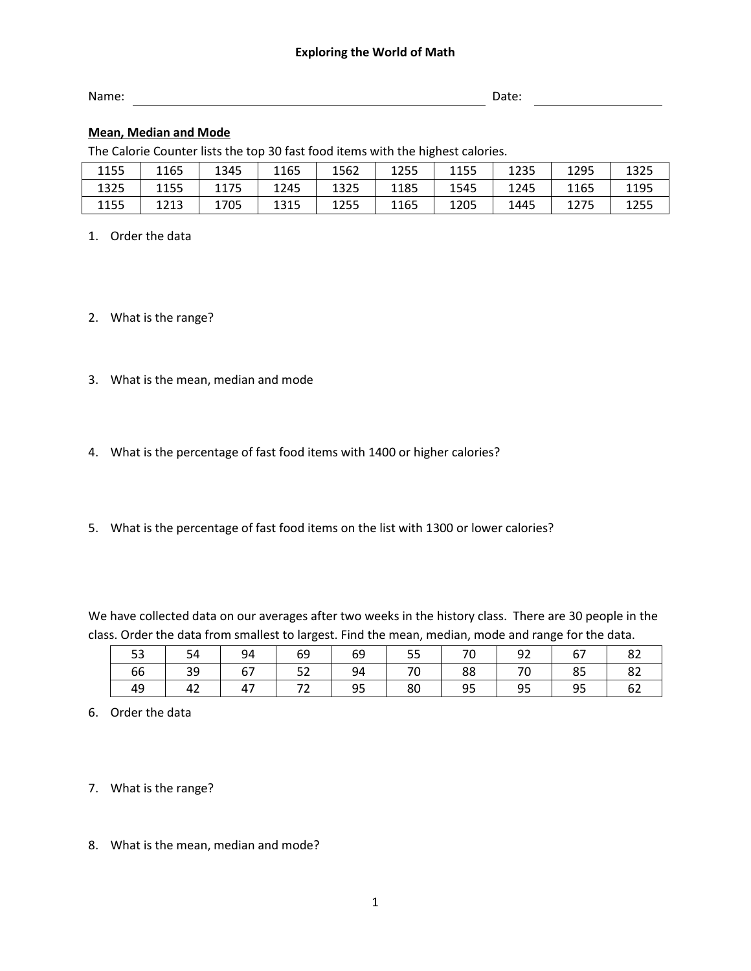## **Exploring the World of Math**

| Name: | Date: |
|-------|-------|
|       |       |

## **Mean, Median and Mode**

The Calorie Counter lists the top 30 fast food items with the highest calories.

| 1155 | 1165 | 1345 | 1165 | 1562 | 1255 | 1155 | 1235 | 1295 | 1325 |
|------|------|------|------|------|------|------|------|------|------|
| 1325 | 1155 | 1175 | 1245 | 1325 | 1185 | 1545 | 1245 | 1165 | 1195 |
| 1155 | 1213 | 1705 | 1315 | 1255 | 1165 | 1205 | 1445 | 1275 | 1255 |

- 1. Order the data
- 2. What is the range?
- 3. What is the mean, median and mode
- 4. What is the percentage of fast food items with 1400 or higher calories?
- 5. What is the percentage of fast food items on the list with 1300 or lower calories?

We have collected data on our averages after two weeks in the history class. There are 30 people in the class. Order the data from smallest to largest. Find the mean, median, mode and range for the data.

| 53 | 54         | 94 | 69          | 69 | 55 | 70 | 92      | 67 | 82 |
|----|------------|----|-------------|----|----|----|---------|----|----|
| 66 | $\vert$ 39 | 67 | 52          | 94 | 70 |    | 88   70 | 85 | 82 |
| 49 | 42         | 47 | $\sqrt{72}$ | 95 | 80 | 95 | 95      | 95 | 62 |

6. Order the data

7. What is the range?

8. What is the mean, median and mode?